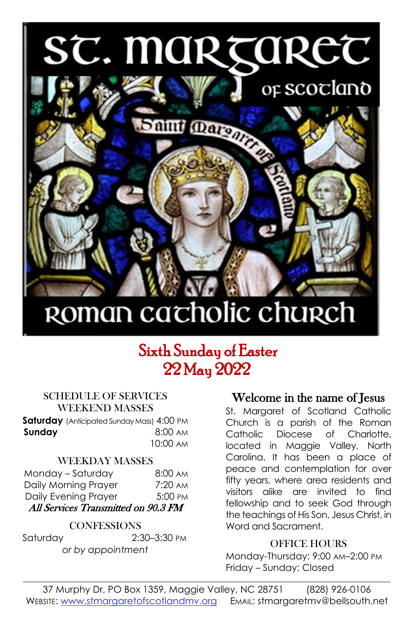# ST. MARTARET



## ROMAN cacholic church

### Sixth Sunday of Easter 22 May 2022

#### SCHEDULE OF SERVICES WEEKEND MASSES

**Saturday** (Anticipated Sunday Mass) 4:00 PM **Sunday 8:00 AM** 10:00 AM

#### WEEKDAY MASSES

| Monday - Saturday                   | $8:00 \text{ AM}$ |  |  |  |  |
|-------------------------------------|-------------------|--|--|--|--|
| Daily Morning Prayer                | $7:20 \text{ AM}$ |  |  |  |  |
| Daily Evening Prayer                | 5:00 PM           |  |  |  |  |
| All Services Transmitted on 90.3 FM |                   |  |  |  |  |

#### **CONFESSIONS**

Saturday 2:30–3:30 PM *or by appointment*

#### Welcome in the name of Jesus

St. Margaret of Scotland Catholic Church is a parish of the Roman Catholic Diocese of Charlotte, located in Maggie Valley, North Carolina. It has been a place of peace and contemplation for over fifty years, where area residents and visitors alike are invited to find fellowship and to seek God through the teachings of His Son, Jesus Christ, in Word and Sacrament.

#### OFFICE HOURS

Monday-Thursday: 9:00 AM–2:00 PM Friday – Sunday: Closed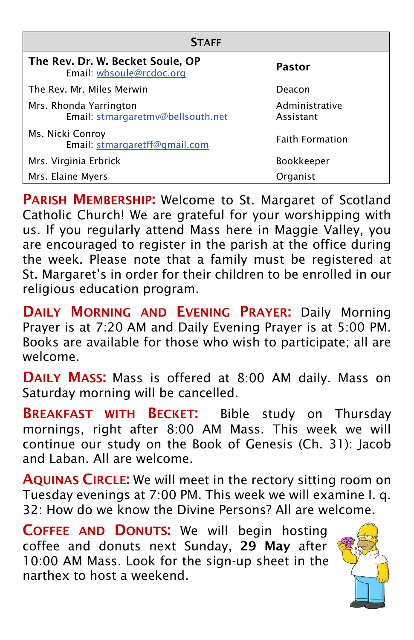| <b>STAFF</b>                                                 |                             |  |  |  |  |
|--------------------------------------------------------------|-----------------------------|--|--|--|--|
| The Rev. Dr. W. Becket Soule, OP<br>Email: wbsoule@rcdoc.org | Pastor                      |  |  |  |  |
| The Rev. Mr. Miles Merwin                                    | Deacon                      |  |  |  |  |
| Mrs. Rhonda Yarrington<br>Email: stmargaretmv@bellsouth.net  | Administrative<br>Assistant |  |  |  |  |
| Ms. Nicki Conroy<br>Email: stmargaretff@gmail.com            | <b>Faith Formation</b>      |  |  |  |  |
| Mrs. Virginia Erbrick                                        | <b>Bookkeeper</b>           |  |  |  |  |
| Mrs. Elaine Myers                                            | Organist                    |  |  |  |  |

**PARISH MEMBERSHIP:** Welcome to St. Margaret of Scotland Catholic Church! We are grateful for your worshipping with us. If you regularly attend Mass here in Maggie Valley, you are encouraged to register in the parish at the office during the week. Please note that a family must be registered at St. Margaret's in order for their children to be enrolled in our religious education program.

DAILY MORNING AND EVENING PRAYER: Daily Morning Prayer is at 7:20 AM and Daily Evening Prayer is at 5:00 PM. Books are available for those who wish to participate; all are welcome.

DAILY MASS: Mass is offered at 8:00 AM daily. Mass on Saturday morning will be cancelled.

**BREAKFAST WITH BECKET:** Bible study on Thursday mornings, right after 8:00 AM Mass. This week we will continue our study on the Book of Genesis (Ch. 31): Jacob and Laban. All are welcome.

AQUINAS CIRCLE: We will meet in the rectory sitting room on Tuesday evenings at 7:00 PM. This week we will examine I. q. 32: How do we know the Divine Persons? All are welcome.

COFFEE AND DONUTS: We will begin hosting coffee and donuts next Sunday, 29 May after 10:00 AM Mass. Look for the sign-up sheet in the narthex to host a weekend.

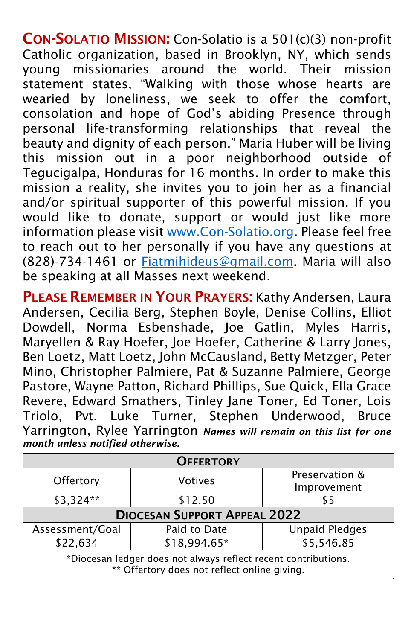CON-SOLATIO MISSION: Con-Solatio is a 501(c)(3) non-profit Catholic organization, based in Brooklyn, NY, which sends young missionaries around the world. Their mission statement states, "Walking with those whose hearts are wearied by loneliness, we seek to offer the comfort, consolation and hope of God's abiding Presence through personal life-transforming relationships that reveal the beauty and dignity of each person." Maria Huber will be living this mission out in a poor neighborhood outside of Tegucigalpa, Honduras for 16 months. In order to make this mission a reality, she invites you to join her as a financial and/or spiritual supporter of this powerful mission. If you would like to donate, support or would just like more information please visit [www.Con-Solatio.org.](www.Con-Solatio.org) Please feel free to reach out to her personally if you have any questions at (828)-734-1461 or [Fiatmihideus@gmail.com.](Fiatmihideus@gmail.com) Maria will also be speaking at all Masses next weekend.

PLEASE REMEMBER IN YOUR PRAYERS: Kathy Andersen, Laura Andersen, Cecilia Berg, Stephen Boyle, Denise Collins, Elliot Dowdell, Norma Esbenshade, Joe Gatlin, Myles Harris, Maryellen & Ray Hoefer, Joe Hoefer, Catherine & Larry Jones, Ben Loetz, Matt Loetz, John McCausland, Betty Metzger, Peter Mino, Christopher Palmiere, Pat & Suzanne Palmiere, George Pastore, Wayne Patton, Richard Phillips, Sue Quick, Ella Grace Revere, Edward Smathers, Tinley Jane Toner, Ed Toner, Lois Triolo, Pvt. Luke Turner, Stephen Underwood, Bruce Yarrington, Rylee Yarrington *Names will remain on this list for one month unless notified otherwise.*

| <b>OFFERTORY</b>                                                                                               |              |                       |  |  |  |
|----------------------------------------------------------------------------------------------------------------|--------------|-----------------------|--|--|--|
| Offertory<br><b>Votives</b>                                                                                    |              | Preservation &        |  |  |  |
|                                                                                                                |              | Improvement           |  |  |  |
| \$3,324**                                                                                                      | \$12.50      | \$5                   |  |  |  |
| <b>DIOCESAN SUPPORT APPEAL 2022</b>                                                                            |              |                       |  |  |  |
| Assessment/Goal                                                                                                | Paid to Date | <b>Unpaid Pledges</b> |  |  |  |
| \$22,634                                                                                                       | \$18,994.65* | \$5,546.85            |  |  |  |
| *Diocesan ledger does not always reflect recent contributions.<br>** Offertory does not reflect online giving. |              |                       |  |  |  |